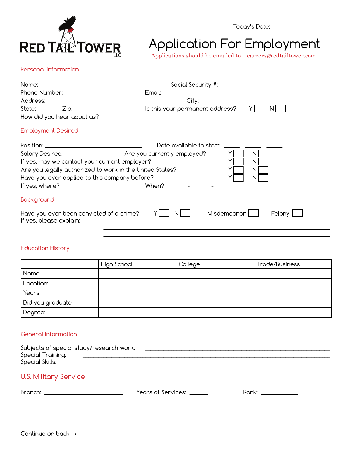

# Application For Employment

Today's Date: \_\_\_\_\_ - \_\_\_\_\_ - \_\_\_\_\_

Applications should be emailed to careers@redtailtower.com

# Personal information

|                                                                     | Social Security #: _______ - ______ - _______                                                                  |  |  |
|---------------------------------------------------------------------|----------------------------------------------------------------------------------------------------------------|--|--|
| Phone Number: ______ - _____ - ______ -                             |                                                                                                                |  |  |
|                                                                     |                                                                                                                |  |  |
| State: $\frac{Zip:\_$                                               | Is this your permanent address?<br>ΥI<br>N.                                                                    |  |  |
| How did you hear about us?                                          |                                                                                                                |  |  |
| <b>Employment Desired</b>                                           |                                                                                                                |  |  |
|                                                                     | Date available to start: The Latin State Start State State State State State State State State State State Sta |  |  |
|                                                                     | Salary Desired: __________________ Are you currently employed?<br>N.                                           |  |  |
| If yes, may we contact your current employer?                       | N.                                                                                                             |  |  |
| Are you legally authorized to work in the United States?            | N                                                                                                              |  |  |
| Have you ever applied to this company before?                       | N.                                                                                                             |  |  |
|                                                                     |                                                                                                                |  |  |
| Background                                                          |                                                                                                                |  |  |
| Have you ever been convicted of a crime?<br>If yes, please explain: | Misdemeanor L<br>Felony                                                                                        |  |  |
|                                                                     |                                                                                                                |  |  |

# Education History

|                   | High School | College | Trade/Business |
|-------------------|-------------|---------|----------------|
| Name:             |             |         |                |
| Location:         |             |         |                |
| Years:            |             |         |                |
| Did you graduate: |             |         |                |
| Degree:           |             |         |                |

 $\mathcal{L}_\mathcal{L} = \{ \mathcal{L}_\mathcal{L} = \{ \mathcal{L}_\mathcal{L} = \{ \mathcal{L}_\mathcal{L} = \{ \mathcal{L}_\mathcal{L} = \{ \mathcal{L}_\mathcal{L} = \{ \mathcal{L}_\mathcal{L} = \{ \mathcal{L}_\mathcal{L} = \{ \mathcal{L}_\mathcal{L} = \{ \mathcal{L}_\mathcal{L} = \{ \mathcal{L}_\mathcal{L} = \{ \mathcal{L}_\mathcal{L} = \{ \mathcal{L}_\mathcal{L} = \{ \mathcal{L}_\mathcal{L} = \{ \mathcal{L}_\mathcal{$ 

# General Information

| Subjects of special study/research work: |  |
|------------------------------------------|--|
| Special Training:                        |  |
| Special Skills:                          |  |
|                                          |  |

# U.S. Military Service

Branch: \_\_\_\_\_\_\_\_\_\_\_\_\_\_\_\_\_\_\_\_\_\_\_\_\_\_\_\_\_\_ Years of Services: \_\_\_\_\_\_\_ Rank: \_\_\_\_\_\_\_\_\_\_\_\_\_\_